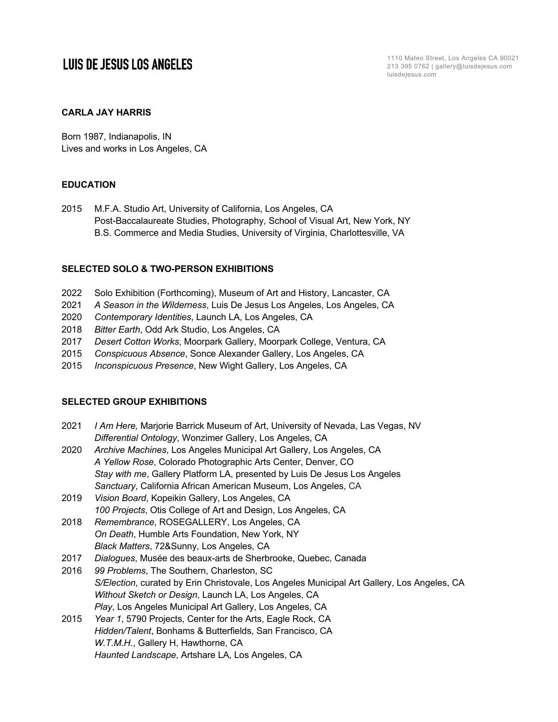# **LUIS DE JESUS LOS ANGELES**

1110 Mateo Street, Los Angeles CA 90021 213 395 0762 | gallery@luisdejesus.com luisdejesus.com

### **CARLA JAY HARRIS**

Born 1987, Indianapolis, IN Lives and works in Los Angeles, CA

### **EDUCATION**

2015 M.F.A. Studio Art, University of California, Los Angeles, CA Post-Baccalaureate Studies, Photography, School of Visual Art, New York, NY B.S. Commerce and Media Studies, University of Virginia, Charlottesville, VA

### **SELECTED SOLO & TWO-PERSON EXHIBITIONS**

- 2022 Solo Exhibition (Forthcoming), Museum of Art and History, Lancaster, CA
- 2021 *A Season in the Wilderness*, Luis De Jesus Los Angeles, Los Angeles, CA
- 2020 *Contemporary Identities*, Launch LA, Los Angeles, CA
- 2018 *Bitter Earth*, Odd Ark Studio, Los Angeles, CA
- 2017 *Desert Cotton Works*, Moorpark Gallery, Moorpark College, Ventura, CA
- 2015 *Conspicuous Absence*, Sonce Alexander Gallery, Los Angeles, CA
- 2015 *Inconspicuous Presence*, New Wight Gallery, Los Angeles, CA

#### **SELECTED GROUP EXHIBITIONS**

| 2021 | I Am Here, Marjorie Barrick Museum of Art, University of Nevada, Las Vegas, NV              |
|------|---------------------------------------------------------------------------------------------|
|      | Differential Ontology, Wonzimer Gallery, Los Angeles, CA                                    |
| 2020 | Archive Machines, Los Angeles Municipal Art Gallery, Los Angeles, CA                        |
|      | A Yellow Rose, Colorado Photographic Arts Center, Denver, CO                                |
|      | Stay with me, Gallery Platform LA, presented by Luis De Jesus Los Angeles                   |
|      | Sanctuary, California African American Museum, Los Angeles, CA                              |
| 2019 | Vision Board, Kopeikin Gallery, Los Angeles, CA                                             |
|      | 100 Projects, Otis College of Art and Design, Los Angeles, CA                               |
| 2018 | Remembrance, ROSEGALLERY, Los Angeles, CA                                                   |
|      | On Death, Humble Arts Foundation, New York, NY                                              |
|      | Black Matters, 72&Sunny, Los Angeles, CA                                                    |
| 2017 | Dialogues, Musée des beaux-arts de Sherbrooke, Quebec, Canada                               |
| 2016 | 99 Problems, The Southern, Charleston, SC                                                   |
|      | S/Election, curated by Erin Christovale, Los Angeles Municipal Art Gallery, Los Angeles, CA |
|      | Without Sketch or Design, Launch LA, Los Angeles, CA                                        |
|      | Play, Los Angeles Municipal Art Gallery, Los Angeles, CA                                    |
| 2015 | Year 1, 5790 Projects, Center for the Arts, Eagle Rock, CA                                  |
|      | Hidden/Talent, Bonhams & Butterfields, San Francisco, CA                                    |
|      | W.T.M.H., Gallery H, Hawthorne, CA                                                          |
|      | Haunted Landscape, Artshare LA, Los Angeles, CA                                             |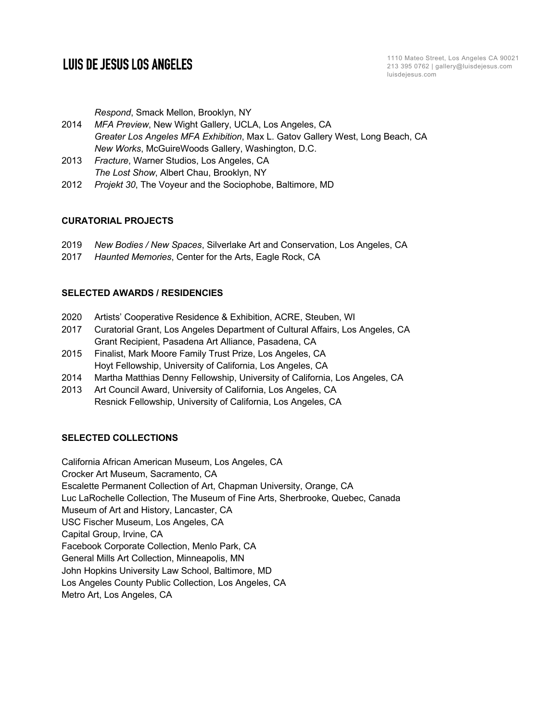## **LUIS DE JESUS LOS ANGELES**

1110 Mateo Street, Los Angeles CA 90021 213 395 0762 | gallery@luisdejesus.com luisdejesus.com

*Respond*, Smack Mellon, Brooklyn, NY

- 2014 *MFA Preview*, New Wight Gallery, UCLA, Los Angeles, CA *Greater Los Angeles MFA Exhibition*, Max L. Gatov Gallery West, Long Beach, CA *New Works*, McGuireWoods Gallery, Washington, D.C.
- 2013 *Fracture*, Warner Studios, Los Angeles, CA *The Lost Show*, Albert Chau, Brooklyn, NY
- 2012 *Projekt 30*, The Voyeur and the Sociophobe, Baltimore, MD

#### **CURATORIAL PROJECTS**

- 2019 *New Bodies / New Spaces*, Silverlake Art and Conservation, Los Angeles, CA
- 2017 *Haunted Memories*, Center for the Arts, Eagle Rock, CA

#### **SELECTED AWARDS / RESIDENCIES**

- 2020 Artists' Cooperative Residence & Exhibition, ACRE, Steuben, WI
- 2017 Curatorial Grant, Los Angeles Department of Cultural Affairs, Los Angeles, CA Grant Recipient, Pasadena Art Alliance, Pasadena, CA
- 2015 Finalist, Mark Moore Family Trust Prize, Los Angeles, CA Hoyt Fellowship, University of California, Los Angeles, CA
- 2014 Martha Matthias Denny Fellowship, University of California, Los Angeles, CA
- 2013 Art Council Award, University of California, Los Angeles, CA Resnick Fellowship, University of California, Los Angeles, CA

#### **SELECTED COLLECTIONS**

California African American Museum, Los Angeles, CA Crocker Art Museum, Sacramento, CA Escalette Permanent Collection of Art, Chapman University, Orange, CA Luc LaRochelle Collection, The Museum of Fine Arts, Sherbrooke, Quebec, Canada Museum of Art and History, Lancaster, CA USC Fischer Museum, Los Angeles, CA Capital Group, Irvine, CA Facebook Corporate Collection, Menlo Park, CA General Mills Art Collection, Minneapolis, MN John Hopkins University Law School, Baltimore, MD Los Angeles County Public Collection, Los Angeles, CA Metro Art, Los Angeles, CA